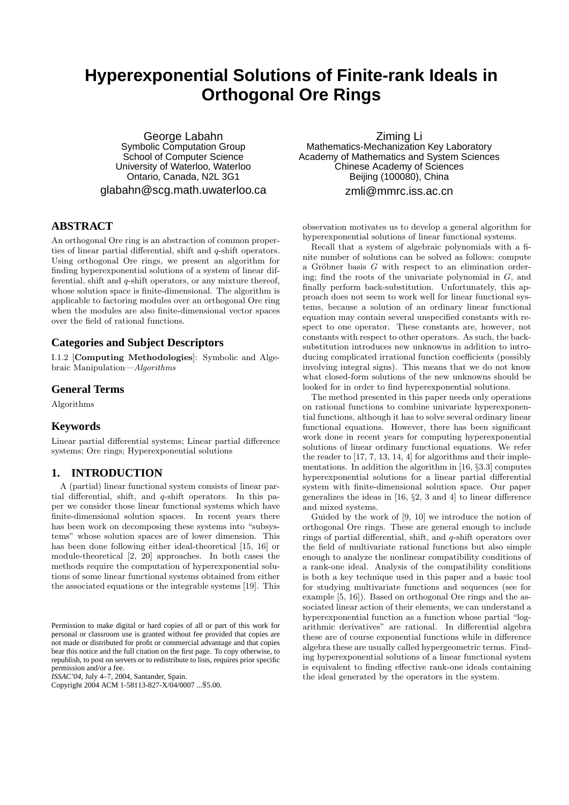# **Hyperexponential Solutions of Finite-rank Ideals in Orthogonal Ore Rings**

George Labahn Symbolic Computation Group School of Computer Science University of Waterloo, Waterloo Ontario, Canada, N2L 3G1 glabahn@scg.math.uwaterloo.ca

## **ABSTRACT**

An orthogonal Ore ring is an abstraction of common properties of linear partial differential, shift and q-shift operators. Using orthogonal Ore rings, we present an algorithm for finding hyperexponential solutions of a system of linear differential, shift and q-shift operators, or any mixture thereof, whose solution space is finite-dimensional. The algorithm is applicable to factoring modules over an orthogonal Ore ring when the modules are also finite-dimensional vector spaces over the field of rational functions.

## **Categories and Subject Descriptors**

I.1.2 [Computing Methodologies]: Symbolic and Algebraic Manipulation—Algorithms

## **General Terms**

Algorithms

## **Keywords**

Linear partial differential systems; Linear partial difference systems; Ore rings; Hyperexponential solutions

## **1. INTRODUCTION**

A (partial) linear functional system consists of linear partial differential, shift, and q-shift operators. In this paper we consider those linear functional systems which have finite-dimensional solution spaces. In recent years there has been work on decomposing these systems into "subsystems" whose solution spaces are of lower dimension. This has been done following either ideal-theoretical [15, 16] or module-theoretical [2, 20] approaches. In both cases the methods require the computation of hyperexponential solutions of some linear functional systems obtained from either the associated equations or the integrable systems [19]. This

*ISSAC'04,* July 4–7, 2004, Santander, Spain.

Copyright 2004 ACM 1-58113-827-X/04/0007 ...\$5.00.

Ziming Li Mathematics-Mechanization Key Laboratory Academy of Mathematics and System Sciences Chinese Academy of Sciences Beijing (100080), China zmli@mmrc.iss.ac.cn

observation motivates us to develop a general algorithm for hyperexponential solutions of linear functional systems.

Recall that a system of algebraic polynomials with a finite number of solutions can be solved as follows: compute a Gröbner basis  $G$  with respect to an elimination ordering; find the roots of the univariate polynomial in  $G$ , and finally perform back-substitution. Unfortunately, this approach does not seem to work well for linear functional systems, because a solution of an ordinary linear functional equation may contain several unspecified constants with respect to one operator. These constants are, however, not constants with respect to other operators. As such, the backsubstitution introduces new unknowns in addition to introducing complicated irrational function coefficients (possibly involving integral signs). This means that we do not know what closed-form solutions of the new unknowns should be looked for in order to find hyperexponential solutions.

The method presented in this paper needs only operations on rational functions to combine univariate hyperexponential functions, although it has to solve several ordinary linear functional equations. However, there has been significant work done in recent years for computing hyperexponential solutions of linear ordinary functional equations. We refer the reader to [17, 7, 13, 14, 4] for algorithms and their implementations. In addition the algorithm in [16, §3.3] computes hyperexponential solutions for a linear partial differential system with finite-dimensional solution space. Our paper generalizes the ideas in [16, §2, 3 and 4] to linear difference and mixed systems.

Guided by the work of [9, 10] we introduce the notion of orthogonal Ore rings. These are general enough to include rings of partial differential, shift, and q-shift operators over the field of multivariate rational functions but also simple enough to analyze the nonlinear compatibility conditions of a rank-one ideal. Analysis of the compatibility conditions is both a key technique used in this paper and a basic tool for studying multivariate functions and sequences (see for example [5, 16]). Based on orthogonal Ore rings and the associated linear action of their elements, we can understand a hyperexponential function as a function whose partial "logarithmic derivatives" are rational. In differential algebra these are of course exponential functions while in difference algebra these are usually called hypergeometric terms. Finding hyperexponential solutions of a linear functional system is equivalent to finding effective rank-one ideals containing the ideal generated by the operators in the system.

Permission to make digital or hard copies of all or part of this work for personal or classroom use is granted without fee provided that copies are not made or distributed for profit or commercial advantage and that copies bear this notice and the full citation on the first page. To copy otherwise, to republish, to post on servers or to redistribute to lists, requires prior specific permission and/or a fee.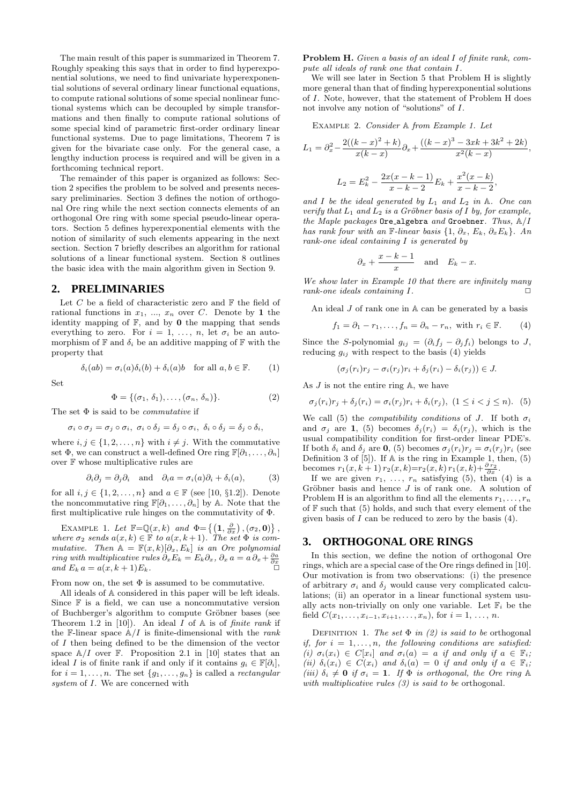The main result of this paper is summarized in Theorem 7. Roughly speaking this says that in order to find hyperexponential solutions, we need to find univariate hyperexponential solutions of several ordinary linear functional equations, to compute rational solutions of some special nonlinear functional systems which can be decoupled by simple transformations and then finally to compute rational solutions of some special kind of parametric first-order ordinary linear functional systems. Due to page limitations, Theorem 7 is given for the bivariate case only. For the general case, a lengthy induction process is required and will be given in a forthcoming technical report.

The remainder of this paper is organized as follows: Section 2 specifies the problem to be solved and presents necessary preliminaries. Section 3 defines the notion of orthogonal Ore ring while the next section connects elements of an orthogonal Ore ring with some special pseudo-linear operators. Section 5 defines hyperexponential elements with the notion of similarity of such elements appearing in the next section. Section 7 briefly describes an algorithm for rational solutions of a linear functional system. Section 8 outlines the basic idea with the main algorithm given in Section 9.

## **2. PRELIMINARIES**

Let  $C$  be a field of characteristic zero and  $\mathbb F$  the field of rational functions in  $x_1, ..., x_n$  over C. Denote by 1 the identity mapping of  $\mathbb{F}$ , and by **0** the mapping that sends everything to zero. For  $i = 1, \ldots, n$ , let  $\sigma_i$  be an automorphism of  $\mathbb F$  and  $\delta_i$  be an additive mapping of  $\mathbb F$  with the property that

$$
\operatorname{Set}
$$

$$
\delta_i(ab) = \sigma_i(a)\delta_i(b) + \delta_i(a)b \quad \text{for all } a, b \in \mathbb{F}.
$$
 (1)

$$
f_{\rm{max}}
$$

$$
\Phi = \{(\sigma_1, \, \delta_1), \dots, (\sigma_n, \, \delta_n)\}.
$$
 (2)

The set  $\Phi$  is said to be *commutative* if

$$
\sigma_i \circ \sigma_j = \sigma_j \circ \sigma_i, \ \sigma_i \circ \delta_j = \delta_j \circ \sigma_i, \ \delta_i \circ \delta_j = \delta_j \circ \delta_i,
$$

where  $i, j \in \{1, 2, \ldots, n\}$  with  $i \neq j$ . With the commutative set  $\Phi$ , we can construct a well-defined Ore ring  $\mathbb{F}[\partial_1,\ldots,\partial_n]$ over F whose multiplicative rules are

$$
\partial_i \partial_j = \partial_j \partial_i
$$
 and  $\partial_i a = \sigma_i(a)\partial_i + \delta_i(a)$ , (3)

for all  $i, j \in \{1, 2, \ldots, n\}$  and  $a \in \mathbb{F}$  (see [10, §1.2]). Denote the noncommutative ring  $\mathbb{F}[\partial_1,\ldots,\partial_n]$  by A. Note that the first multiplicative rule hinges on the commutativity of Φ.

EXAMPLE 1. Let  $\mathbb{F}=\mathbb{Q}(x,k)$  and  $\Phi = \{(\mathbf{1}, \frac{\partial}{\partial x}), (\sigma_2, \mathbf{0})\},\$ where  $\sigma_2$  sends  $a(x, k) \in \mathbb{F}$  to  $a(x, k+1)$ . The set  $\Phi$  is commutative. Then  $A = \mathbb{F}(x, k)[\partial_x, E_k]$  is an Ore polynomial *ring with multiplicative rules*  $\partial_x E_k = E_k \partial_x$ ,  $\partial_x a = a \partial_x + \frac{\partial a}{\partial x}$ and  $E_k a = a(x, k+1)E_k$ .

From now on, the set  $\Phi$  is assumed to be commutative.

All ideals of A considered in this paper will be left ideals. Since  $\mathbb F$  is a field, we can use a noncommutative version of Buchberger's algorithm to compute Gröbner bases (see Theorem 1.2 in [10]). An ideal  $I$  of  $A$  is of *finite rank* if the F-linear space  $\mathbb{A}/I$  is finite-dimensional with the *rank* of I then being defined to be the dimension of the vector space  $\mathbb{A}/I$  over  $\mathbb{F}$ . Proposition 2.1 in [10] states that an ideal I is of finite rank if and only if it contains  $g_i \in \mathbb{F}[\partial_i]$ , for  $i = 1, \ldots, n$ . The set  $\{g_1, \ldots, g_n\}$  is called a *rectangular* system of  $I$ . We are concerned with

Problem H. Given a basis of an ideal I of finite rank, compute all ideals of rank one that contain I.

We will see later in Section 5 that Problem H is slightly more general than that of finding hyperexponential solutions of I. Note, however, that the statement of Problem H does not involve any notion of "solutions" of I.

Example 2. Consider A from Example 1. Let

$$
L_1 = \partial_x^2 - \frac{2((k-x)^2 + k)}{x(k-x)} \partial_x + \frac{((k-x)^3 - 3xk + 3k^2 + 2k)}{x^2(k-x)},
$$
  

$$
L_2 = E_k^2 - \frac{2x(x-k-1)}{x-k-2} E_k + \frac{x^2(x-k)}{x-k-2},
$$

and I be the ideal generated by  $L_1$  and  $L_2$  in A. One can verify that  $L_1$  and  $L_2$  is a Gröbner basis of I by, for example, the Maple packages Ore algebra and Groebner. Thus,  $A/I$ has rank four with an F-linear basis  $\{1, \partial_x, E_k, \partial_x E_k\}$ . An rank-one ideal containing I is generated by

$$
\partial_x + \frac{x-k-1}{x}
$$
 and  $E_k - x$ .

We show later in Example 10 that there are infinitely many rank-one ideals containing  $I$ .

An ideal  $J$  of rank one in  $A$  can be generated by a basis

 $f_1 = \partial_1 - r_1, \ldots, f_n = \partial_n - r_n$ , with  $r_i \in \mathbb{F}$ . (4)

Since the S-polynomial  $g_{ij} = (\partial_i f_i - \partial_j f_i)$  belongs to J, reducing  $g_{ij}$  with respect to the basis (4) yields

$$
(\sigma_j(r_i)r_j - \sigma_i(r_j)r_i + \delta_j(r_i) - \delta_i(r_j)) \in J.
$$

As  $J$  is not the entire ring  $A$ , we have

$$
\sigma_j(r_i)r_j + \delta_j(r_i) = \sigma_i(r_j)r_i + \delta_i(r_j), \ (1 \leq i < j \leq n). \tag{5}
$$

We call (5) the *compatibility conditions* of J. If both  $\sigma_i$ and  $\sigma_i$  are 1, (5) becomes  $\delta_i(r_i) = \delta_i(r_i)$ , which is the usual compatibility condition for first-order linear PDE's. If both  $\delta_i$  and  $\delta_j$  are 0, (5) becomes  $\sigma_i(r_i)r_j = \sigma_i(r_j)r_i$  (see Definition 3 of  $[5]$ . If A is the ring in Example 1, then,  $(5)$ becomes  $r_1(x, k+1) r_2(x, k) = r_2(x, k) r_1(x, k) + \frac{\partial r_2}{\partial x}$ .

If we are given  $r_1, \ldots, r_n$  satisfying (5), then (4) is a Gröbner basis and hence  $J$  is of rank one. A solution of Problem H is an algorithm to find all the elements  $r_1, \ldots, r_n$ of  $\mathbb F$  such that (5) holds, and such that every element of the given basis of  $\overline{I}$  can be reduced to zero by the basis (4).

#### **3. ORTHOGONAL ORE RINGS**

In this section, we define the notion of orthogonal Ore rings, which are a special case of the Ore rings defined in [10]. Our motivation is from two observations: (i) the presence of arbitrary  $\sigma_i$  and  $\delta_j$  would cause very complicated calculations; (ii) an operator in a linear functional system usually acts non-trivially on only one variable. Let  $\mathbb{F}_i$  be the field  $C(x_1, \ldots, x_{i-1}, x_{i+1}, \ldots, x_n)$ , for  $i = 1, \ldots, n$ .

DEFINITION 1. The set  $\Phi$  in (2) is said to be orthogonal if, for  $i = 1, \ldots, n$ , the following conditions are satisfied: (i)  $\sigma_i(x_i) \in C[x_i]$  and  $\sigma_i(a) = a$  if and only if  $a \in \mathbb{F}_i$ ; (ii)  $\delta_i(x_i) \in C(x_i)$  and  $\delta_i(a) = 0$  if and only if  $a \in \mathbb{F}_i$ ; (iii)  $\delta_i \neq 0$  if  $\sigma_i = 1$ . If  $\Phi$  is orthogonal, the Ore ring A with multiplicative rules  $(3)$  is said to be orthogonal.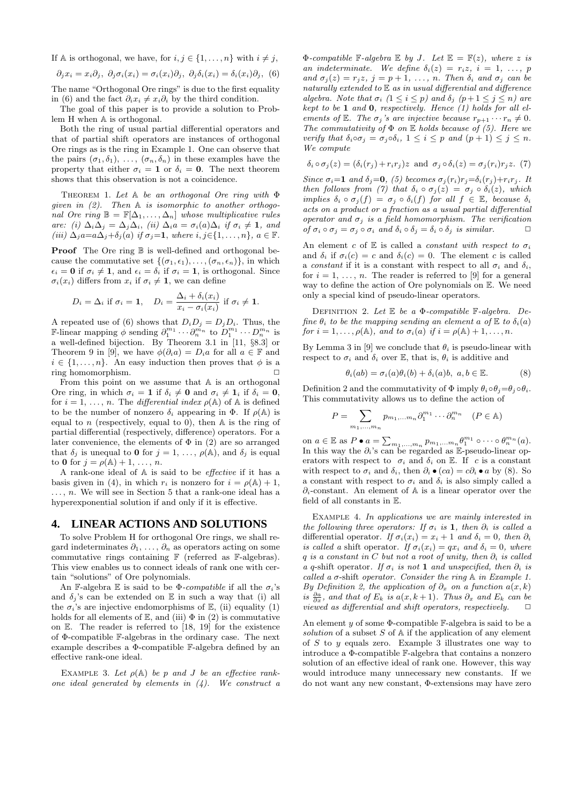If A is orthogonal, we have, for  $i, j \in \{1, ..., n\}$  with  $i \neq j$ ,

$$
\partial_j x_i = x_i \partial_j, \ \partial_j \sigma_i(x_i) = \sigma_i(x_i) \partial_j, \ \partial_j \delta_i(x_i) = \delta_i(x_i) \partial_j, \ (6)
$$

The name "Orthogonal Ore rings" is due to the first equality in (6) and the fact  $\partial_i x_i \neq x_i \partial_i$  by the third condition.

The goal of this paper is to provide a solution to Problem H when A is orthogonal.

Both the ring of usual partial differential operators and that of partial shift operators are instances of orthogonal Ore rings as is the ring in Example 1. One can observe that the pairs  $(\sigma_1, \delta_1), \ldots, (\sigma_n, \delta_n)$  in these examples have the property that either  $\sigma_i = 1$  or  $\delta_i = 0$ . The next theorem shows that this observation is not a coincidence.

THEOREM 1. Let  $A$  be an orthogonal Ore ring with  $\Phi$ given in  $(2)$ . Then A is isomorphic to another orthogonal Ore ring  $\mathbb{B} = \mathbb{F}[\Delta_1, \ldots, \Delta_n]$  whose multiplicative rules are: (i)  $\Delta_i\Delta_j = \Delta_j\Delta_i$ , (ii)  $\Delta_i a = \sigma_i(a)\Delta_i$  if  $\sigma_i \neq 1$ , and (iii)  $\Delta_j a = a\Delta_j + \delta_j(a)$  if  $\sigma_j = 1$ , where  $i, j \in \{1, ..., n\}$ ,  $a \in \mathbb{F}$ .

**Proof** The Ore ring  $\mathbb B$  is well-defined and orthogonal because the commutative set  $\{(\sigma_1, \epsilon_1), \ldots, (\sigma_n, \epsilon_n)\}\$ , in which  $\epsilon_i = 0$  if  $\sigma_i \neq 1$ , and  $\epsilon_i = \delta_i$  if  $\sigma_i = 1$ , is orthogonal. Since  $\sigma_i(x_i)$  differs from  $x_i$  if  $\sigma_i \neq 1$ , we can define

$$
D_i = \Delta_i \text{ if } \sigma_i = 1, \quad D_i = \frac{\Delta_i + \delta_i(x_i)}{x_i - \sigma_i(x_i)} \text{ if } \sigma_i \neq 1.
$$

A repeated use of (6) shows that  $D_i D_j = D_j D_i$ . Thus, the F-linear mapping  $\phi$  sending  $\partial_1^{m_1} \cdots \partial_n^{m_n}$  to  $D_1^{m_1} \cdots D_n^{m_n}$  is a well-defined bijection. By Theorem 3.1 in [11, §8.3] or Theorem 9 in [9], we have  $\phi(\partial_i a) = D_i a$  for all  $a \in \mathbb{F}$  and  $i \in \{1, \ldots, n\}$ . An easy induction then proves that  $\phi$  is a ring homomorphism.

From this point on we assume that A is an orthogonal Ore ring, in which  $\sigma_i = 1$  if  $\delta_i \neq 0$  and  $\sigma_i \neq 1_i$  if  $\delta_i = 0$ , for  $i = 1, \ldots, n$ . The *differential index*  $\rho(\mathbb{A})$  of  $\mathbb{A}$  is defined to be the number of nonzero  $\delta_i$  appearing in  $\Phi$ . If  $\rho(\mathbb{A})$  is equal to  $n$  (respectively, equal to 0), then  $A$  is the ring of partial differential (respectively, difference) operators. For a later convenience, the elements of  $\Phi$  in (2) are so arranged that  $\delta_j$  is unequal to **0** for  $j = 1, \ldots, \rho(\mathbb{A})$ , and  $\delta_j$  is equal to 0 for  $j = \rho(\mathbb{A}) + 1, \ldots, n$ .

A rank-one ideal of A is said to be effective if it has a basis given in (4), in which  $r_i$  is nonzero for  $i = \rho(\mathbb{A}) + 1$ ,  $\ldots$ , n. We will see in Section 5 that a rank-one ideal has a hyperexponential solution if and only if it is effective.

#### **4. LINEAR ACTIONS AND SOLUTIONS**

To solve Problem H for orthogonal Ore rings, we shall regard indeterminates  $\partial_1, \ldots, \partial_n$  as operators acting on some commutative rings containing  $\mathbb F$  (referred as  $\mathbb F$ -algebras). This view enables us to connect ideals of rank one with certain "solutions" of Ore polynomials.

An F-algebra E is said to be  $\Phi$ -compatible if all the  $\sigma_i$ 's and  $\delta_i$ 's can be extended on E in such a way that (i) all the  $\sigma_i$ 's are injective endomorphisms of E, (ii) equality (1) holds for all elements of  $\mathbb{E}$ , and (iii)  $\Phi$  in (2) is commutative on E. The reader is referred to [18, 19] for the existence of Φ-compatible F-algebras in the ordinary case. The next example describes a Φ-compatible F-algebra defined by an effective rank-one ideal.

EXAMPLE 3. Let  $\rho(A)$  be p and J be an effective rankone ideal generated by elements in  $(4)$ . We construct a  $\Phi$ -compatible F-algebra E by J. Let  $\mathbb{E} = \mathbb{F}(z)$ , where z is an indeterminate. We define  $\delta_i(z) = r_i z, i = 1, \ldots, p$ and  $\sigma_j(z) = r_j z$ ,  $j = p + 1, \ldots, n$ . Then  $\delta_i$  and  $\sigma_j$  can be naturally extended to E as in usual differential and difference algebra. Note that  $\sigma_i$   $(1 \leq i \leq p)$  and  $\delta_j$   $(p+1 \leq j \leq n)$  are kept to be  $1$  and  $0$ , respectively. Hence  $(1)$  holds for all elements of  $\mathbb{E}$ . The  $\sigma_j$ 's are injective because  $r_{p+1} \cdots r_n \neq 0$ . The commutativity of  $\Phi$  on  $\mathbb E$  holds because of (5). Here we verify that  $\delta_i \circ \sigma_j = \sigma_j \circ \delta_i$ ,  $1 \leq i \leq p$  and  $(p+1) \leq j \leq n$ . We compute

$$
\delta_i \circ \sigma_j(z) = (\delta_i(r_j) + r_i r_j) z \text{ and } \sigma_j \circ \delta_i(z) = \sigma_j(r_i) r_j z. (7)
$$

Since  $\sigma_i=1$  and  $\delta_i=0$ , (5) becomes  $\sigma_i(r_i)r_i=\delta_i(r_i)+r_ir_i$ . It then follows from (7) that  $\delta_i \circ \sigma_j(z) = \sigma_j \circ \delta_i(z)$ , which implies  $\delta_i \circ \sigma_j(f) = \sigma_j \circ \delta_i(f)$  for all  $f \in \mathbb{E}$ , because  $\delta_i$ acts on a product or a fraction as a usual partial differential operator and  $\sigma_j$  is a field homomorphism. The verification of  $\sigma_i \circ \sigma_j = \sigma_j \circ \sigma_i$  and  $\delta_i \circ \delta_j = \delta_i \circ \delta_j$  is similar.  $\Box$ 

An element c of E is called a constant with respect to  $\sigma_i$ and  $\delta_i$  if  $\sigma_i(c) = c$  and  $\delta_i(c) = 0$ . The element c is called a constant if it is a constant with respect to all  $\sigma_i$  and  $\delta_i$ , for  $i = 1, \ldots, n$ . The reader is referred to [9] for a general way to define the action of Ore polynomials on E. We need only a special kind of pseudo-linear operators.

DEFINITION 2. Let  $E$  be a  $\Phi$ -compatible  $\mathbb{F}\text{-}algebra$ . Define  $\theta_i$  to be the mapping sending an element a of  $\mathbb E$  to  $\delta_i(a)$ for  $i = 1, \ldots, \rho(\mathbb{A})$ , and to  $\sigma_i(a)$  if  $i = \rho(\mathbb{A}) + 1, \ldots, n$ .

By Lemma 3 in [9] we conclude that  $\theta_i$  is pseudo-linear with respect to  $\sigma_i$  and  $\delta_i$  over E, that is,  $\theta_i$  is additive and

$$
\theta_i(ab) = \sigma_i(a)\theta_i(b) + \delta_i(a)b, \ a, b \in \mathbb{E}.\tag{8}
$$

Definition 2 and the commutativity of  $\Phi$  imply  $\theta_i \circ \theta_j = \theta_i \circ \theta_i$ . This commutativity allows us to define the action of

$$
P = \sum_{m_1,\dots,m_n} p_{m_1,\dots m_n} \partial_1^{m_1} \cdots \partial_n^{m_n} \quad (P \in \mathbb{A})
$$

on  $a \in \mathbb{E}$  as  $P \bullet a = \sum_{m_1, \dots, m_n} p_{m_1, \dots, m_n} \theta_1^{m_1} \circ \cdots \circ \theta_n^{m_n}(a)$ . In this way the  $\partial_i$ 's can be regarded as E-pseudo-linear operators with respect to  $\sigma_i$  and  $\delta_i$  on E. If c is a constant with respect to  $\sigma_i$  and  $\delta_i$ , then  $\partial_i \bullet (ca) = c \partial_i \bullet a$  by (8). So a constant with respect to  $\sigma_i$  and  $\delta_i$  is also simply called a  $\partial_i$ -constant. An element of A is a linear operator over the field of all constants in E.

EXAMPLE 4. In applications we are mainly interested in the following three operators: If  $\sigma_i$  is 1, then  $\partial_i$  is called a differential operator. If  $\sigma_i(x_i) = x_i + 1$  and  $\delta_i = 0$ , then  $\partial_i$ is called a shift operator. If  $\sigma_i(x_i) = qx_i$  and  $\delta_i = 0$ , where q is a constant in C but not a root of unity, then  $\partial_i$  is called a q-shift operator. If  $\sigma_i$  is not 1 and unspecified, then  $\partial_i$  is called a  $\sigma$ -shift operator. Consider the ring  $A$  in Example 1. By Definition 2, the application of  $\partial_x$  on a function  $a(x, k)$ is  $\frac{\partial a}{\partial x}$ , and that of  $E_k$  is  $a(x, k+1)$ . Thus  $\partial_x$  and  $E_k$  can be viewed as differential and shift operators, respectively.  $\Box$ 

An element  $y$  of some  $\Phi$ -compatible  $\mathbb{F}-$ algebra is said to be a solution of a subset  $S$  of  $A$  if the application of any element of  $S$  to  $y$  equals zero. Example 3 illustrates one way to introduce a Φ-compatible F-algebra that contains a nonzero solution of an effective ideal of rank one. However, this way would introduce many unnecessary new constants. If we do not want any new constant, Φ-extensions may have zero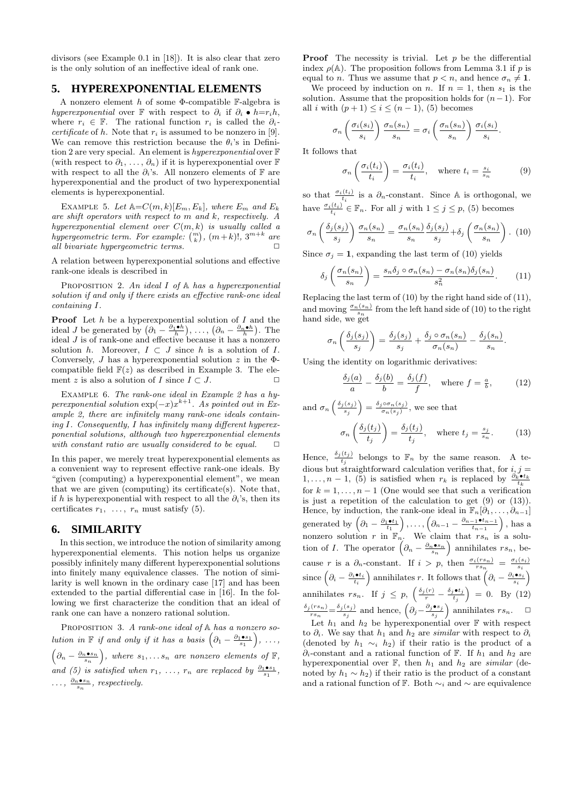divisors (see Example 0.1 in [18]). It is also clear that zero is the only solution of an ineffective ideal of rank one.

## **5. HYPEREXPONENTIAL ELEMENTS**

A nonzero element h of some  $\Phi$ -compatible F-algebra is hyperexponential over F with respect to  $\partial_i$  if  $\partial_i \bullet h=r_i h$ , where  $r_i \in \mathbb{F}$ . The rational function  $r_i$  is called the  $\partial_i$ *certificate* of h. Note that  $r_i$  is assumed to be nonzero in [9]. We can remove this restriction because the  $\theta_i$ 's in Definition 2 are very special. An element is hyperexponential over F (with respect to  $\partial_1, \ldots, \partial_n$ ) if it is hyperexponential over F with respect to all the  $\partial_i$ 's. All nonzero elements of F are hyperexponential and the product of two hyperexponential elements is hyperexponential.

EXAMPLE 5. Let  $\mathbb{A}=C(m,k)[E_m,E_k]$ , where  $E_m$  and  $E_k$ are shift operators with respect to m and k, respectively. A hyperexponential element over  $C(m, k)$  is usually called a hypergeometric term. For example:  $\binom{m}{k}$ ,  $(m+k)!$ ,  $3^{m+k}$  are all bivariate hypergeometric terms.  $\Box$ 

A relation between hyperexponential solutions and effective rank-one ideals is described in

PROPOSITION 2. An ideal  $I$  of  $A$  has a hyperexponential solution if and only if there exists an effective rank-one ideal containing I.

**Proof** Let  $h$  be a hyperexponential solution of  $I$  and the ideal *J* be generated by  $\left(\partial_1 - \frac{\partial_1 \cdot h}{h}\right)$ , ...,  $\left(\partial_n - \frac{\partial_n \cdot h}{h}\right)$ . The ideal  $J$  is of rank-one and effective because it has a nonzero solution h. Moreover,  $I \subset J$  since h is a solution of I. Conversely, J has a hyperexponential solution  $z$  in the  $\Phi$ compatible field  $F(z)$  as described in Example 3. The element z is also a solution of I since  $I \subset J$ .  $\Box$ 

EXAMPLE 6. The rank-one ideal in Example 2 has a hyperexponential solution  $\exp(-x)x^{k+1}$ . As pointed out in Example 2, there are infinitely many rank-one ideals containing I. Consequently, I has infinitely many different hyperexponential solutions, although two hyperexponential elements with constant ratio are usually considered to be equal.  $\Box$ 

In this paper, we merely treat hyperexponential elements as a convenient way to represent effective rank-one ideals. By "given (computing) a hyperexponential element", we mean that we are given (computing) its certificate(s). Note that, if h is hyperexponential with respect to all the  $\partial_i$ 's, then its certificates  $r_1, \ldots, r_n$  must satisfy (5).

## **6. SIMILARITY**

In this section, we introduce the notion of similarity among hyperexponential elements. This notion helps us organize possibly infinitely many different hyperexponential solutions into finitely many equivalence classes. The notion of similarity is well known in the ordinary case [17] and has been extended to the partial differential case in [16]. In the following we first characterize the condition that an ideal of rank one can have a nonzero rational solution.

PROPOSITION 3. A rank-one ideal of  $A$  has a nonzero solution in  $\mathbb F$  if and only if it has a basis  $\left(\partial_1-\frac{\partial_1\bullet s_1}{s_1}\right), \ldots,$  $\left(\partial_n - \frac{\partial_n \bullet s_n}{s_n}\right)$ , where  $s_1, \ldots s_n$  are nonzero elements of  $\mathbb{F}$ , and (5) is satisfied when  $r_1, \ldots, r_n$  are replaced by  $\frac{\partial_1 \bullet s_1}{s_1}$ ,  $\ldots, \frac{\partial_n \bullet s_n}{s_n},$  respectively.

**Proof** The necessity is trivial. Let  $p$  be the differential index  $\rho(\mathbb{A})$ . The proposition follows from Lemma 3.1 if p is equal to *n*. Thus we assume that  $p < n$ , and hence  $\sigma_n \neq 1$ .

We proceed by induction on n. If  $n = 1$ , then  $s_1$  is the solution. Assume that the proposition holds for  $(n-1)$ . For all i with  $(p+1) \leq i \leq (n-1)$ , (5) becomes

$$
\sigma_n\left(\frac{\sigma_i(s_i)}{s_i}\right)\frac{\sigma_n(s_n)}{s_n}=\sigma_i\left(\frac{\sigma_n(s_n)}{s_n}\right)\frac{\sigma_i(s_i)}{s_i}.
$$

It follows that

$$
\sigma_n\left(\frac{\sigma_i(t_i)}{t_i}\right) = \frac{\sigma_i(t_i)}{t_i}, \quad \text{where } t_i = \frac{s_i}{s_n} \tag{9}
$$

so that  $\frac{\sigma_i(t_i)}{t_i}$  is a  $\partial_n$ -constant. Since A is orthogonal, we have  $\frac{\sigma_i(t_i)}{t_i} \in \mathbb{F}_n$ . For all j with  $1 \leq j \leq p$ , (5) becomes

$$
\sigma_n\left(\frac{\delta_j(s_j)}{s_j}\right)\frac{\sigma_n(s_n)}{s_n} = \frac{\sigma_n(s_n)}{s_n}\frac{\delta_j(s_j)}{s_j} + \delta_j\left(\frac{\sigma_n(s_n)}{s_n}\right). \tag{10}
$$

Since  $\sigma_i = 1$ , expanding the last term of (10) yields

$$
\delta_j \left( \frac{\sigma_n(s_n)}{s_n} \right) = \frac{s_n \delta_j \circ \sigma_n(s_n) - \sigma_n(s_n) \delta_j(s_n)}{s_n^2}.
$$
 (11)

Replacing the last term of (10) by the right hand side of (11), and moving  $\frac{\sigma_n(s_n)}{s}$  from the left hand side of (10) to the right  $\lim_{n \to \infty} \frac{s_n}{s_n}$  hand side, we get

$$
\sigma_n\left(\frac{\delta_j(s_j)}{s_j}\right) = \frac{\delta_j(s_j)}{s_j} + \frac{\delta_j \circ \sigma_n(s_n)}{\sigma_n(s_n)} - \frac{\delta_j(s_n)}{s_n}.
$$

Using the identity on logarithmic derivatives:

$$
\frac{\delta_j(a)}{a} - \frac{\delta_j(b)}{b} = \frac{\delta_j(f)}{f}, \quad \text{where } f = \frac{a}{b}, \quad (12)
$$

and  $\sigma_n\left(\frac{\delta_j(s_j)}{s}\right)$  $\left(\frac{(s_j)}{s_j}\right) = \frac{\delta_j \circ \sigma_n(s_j)}{\sigma_n(s_j)}$  $\frac{\partial^{\sigma_n(s_j)}}{\partial n(s_j)}$ , we see that

$$
\sigma_n\left(\frac{\delta_j(t_j)}{t_j}\right) = \frac{\delta_j(t_j)}{t_j}, \quad \text{where } t_j = \frac{s_j}{s_n}.\tag{13}
$$

Hence,  $\frac{\delta_j(t_j)}{t_j}$  belongs to  $\mathbb{F}_n$  by the same reason. A tedious but straightforward calculation verifies that, for  $i, j =$  $1, \ldots, n-1$ , (5) is satisfied when  $r_k$  is replaced by  $\frac{\partial_k \bullet t_k}{t_k}$ for  $k = 1, \ldots, n - 1$  (One would see that such a verification is just a repetition of the calculation to get (9) or (13)). Hence, by induction, the rank-one ideal in  $\mathbb{F}_n[\partial_1,\ldots,\partial_{n-1}]$ generated by  $\left(\partial_1 - \frac{\partial_1 \bullet t_1}{t_1}\right), \ldots, \left(\partial_{n-1} - \frac{\partial_{n-1} \bullet t_{n-1}}{t_{n-1}}\right)$ , has a nonzero solution r in  $\mathbb{F}_n$ . We claim that  $rs_n$  is a solution of *I*. The operator  $\left(\partial_n - \frac{\partial_n \bullet s_n}{s_n}\right)$  annihilates  $rs_n$ , because r is a  $\partial_n$ -constant. If  $i > p$ , then  $\frac{\sigma_i(rs_n)}{rs_n} = \frac{\sigma_i(s_i)}{s_i}$ since  $\left(\partial_i - \frac{\partial_i \bullet t_i}{t_i}\right)$  annihilates r. It follows that  $\left(\partial_i - \frac{\partial_i \bullet s_i}{s_i}\right)$ annihilates  $rs_n$ . If  $j \leq p$ ,  $\left(\frac{\delta_j(r)}{r} - \frac{\delta_j \bullet t_j}{t_j}\right)$  $\left(\frac{\partial \mathbf{t}_j}{t_j}\right) = 0$ . By (12)  $\frac{\delta_j(rs_n)}{rs_n} = \frac{\delta_j(s_j)}{s_j}$  $\frac{(s_j)}{s_j}$  and hence,  $\left(\partial_j - \frac{\partial_j \bullet s_j}{s_j}\right)$  $\left(\frac{\boldsymbol{\delta} \cdot \boldsymbol{s}_j}{s_j}\right)$  annihilates  $rs_n$ .  $\Box$ 

Let  $h_1$  and  $h_2$  be hyperexponential over  $\mathbb F$  with respect to  $\partial_i$ . We say that  $h_1$  and  $h_2$  are similar with respect to  $\partial_i$ (denoted by  $h_1 \sim_i h_2$ ) if their ratio is the product of a  $\partial_i$ -constant and a rational function of F. If  $h_1$  and  $h_2$  are hyperexponential over  $\mathbb{F}$ , then  $h_1$  and  $h_2$  are similar (denoted by  $h_1 \sim h_2$ ) if their ratio is the product of a constant and a rational function of F. Both  $\sim_i$  and  $\sim$  are equivalence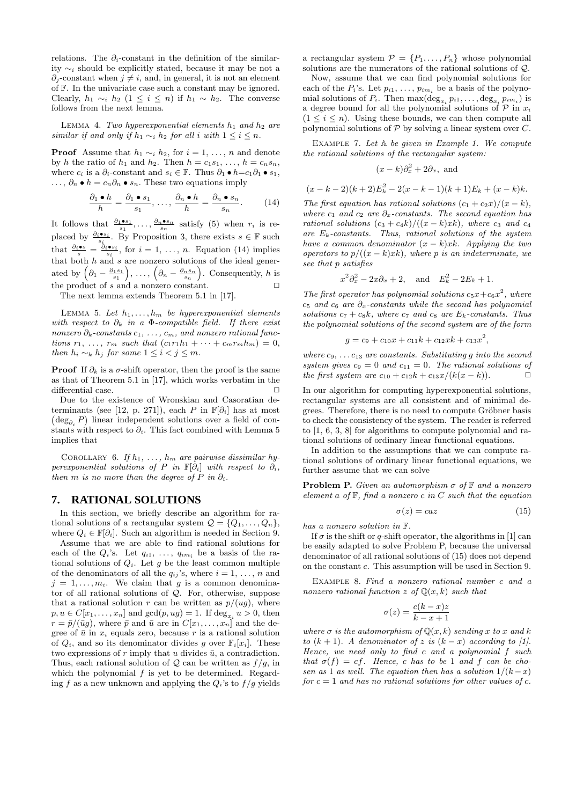relations. The  $\partial_i$ -constant in the definition of the similarity  $\sim_i$  should be explicitly stated, because it may be not a  $\partial_i$ -constant when  $j \neq i$ , and, in general, it is not an element of F. In the univariate case such a constant may be ignored. Clearly,  $h_1 \sim_i h_2$  (1 ≤ i ≤ n) if  $h_1 \sim h_2$ . The converse follows from the next lemma.

LEMMA 4. Two hyperexponential elements  $h_1$  and  $h_2$  are similar if and only if  $h_1 \sim_i h_2$  for all i with  $1 \leq i \leq n$ .

**Proof** Assume that  $h_1 \sim_i h_2$ , for  $i = 1, \ldots, n$  and denote by h the ratio of  $h_1$  and  $h_2$ . Then  $h = c_1s_1, \ldots, h = c_ns_n$ , where  $c_i$  is a  $\partial_i$ -constant and  $s_i \in \mathbb{F}$ . Thus  $\partial_1 \bullet h = c_1 \partial_1 \bullet s_1$ ,  $\ldots, \partial_n \bullet h = c_n \partial_n \bullet s_n$ . These two equations imply

$$
\frac{\partial_1 \bullet h}{h} = \frac{\partial_1 \bullet s_1}{s_1}, \dots, \frac{\partial_n \bullet h}{h} = \frac{\partial_n \bullet s_n}{s_n}.
$$
 (14)

It follows that  $\frac{\partial_1 \bullet s_1}{s_1}, \ldots, \frac{\partial_n \bullet s_n}{s_n}$  satisfy (5) when  $r_i$  is replaced by  $\frac{\partial_i \bullet s_i}{s_i}$ . By Proposition 3, there exists  $s \in \mathbb{F}$  such that  $\frac{\partial_i \bullet s}{s} = \frac{\partial_i \bullet s_i}{s_i}$ , for  $i = 1, \ldots, n$ . Equation (14) implies that both h and s are nonzero solutions of the ideal generated by  $(\partial_1 - \frac{\partial_1 s_1}{s_1}), \ldots, (\partial_n - \frac{\partial_n s_n}{s_n}).$  Consequently, h is the product of  $s$  and a nonzero constant.  $\Box$ 

The next lemma extends Theorem 5.1 in [17].

LEMMA 5. Let  $h_1, \ldots, h_m$  be hyperexponential elements with respect to  $\partial_k$  in a  $\Phi$ -compatible field. If there exist nonzero  $\partial_k$ -constants  $c_1, \ldots, c_m$ , and nonzero rational functions  $r_1, \ldots, r_m$  such that  $(c_1r_1h_1 + \cdots + c_mr_mh_m) = 0$ , then  $h_i \sim_k h_j$  for some  $1 \leq i < j \leq m$ .

**Proof** If  $\partial_k$  is a  $\sigma$ -shift operator, then the proof is the same as that of Theorem 5.1 in [17], which works verbatim in the differential case.

Due to the existence of Wronskian and Casoratian determinants (see [12, p. 271]), each P in  $\mathbb{F}[\partial_i]$  has at most  $(\deg_{\partial_i} P)$  linear independent solutions over a field of constants with respect to  $\partial_i$ . This fact combined with Lemma 5 implies that

COROLLARY 6. If  $h_1, \ldots, h_m$  are pairwise dissimilar hyperexponential solutions of P in  $\mathbb{F}[\partial_i]$  with respect to  $\partial_i$ , then m is no more than the degree of P in  $\partial_i$ .

#### **7. RATIONAL SOLUTIONS**

In this section, we briefly describe an algorithm for rational solutions of a rectangular system  $\mathcal{Q} = \{Q_1, \ldots, Q_n\},\$ where  $Q_i \in \mathbb{F}[\partial_i]$ . Such an algorithm is needed in Section 9.

Assume that we are able to find rational solutions for each of the  $Q_i$ 's. Let  $q_{i1}, \ldots, q_{im_i}$  be a basis of the rational solutions of  $Q_i$ . Let g be the least common multiple of the denominators of all the  $q_{ij}$ 's, where  $i = 1, \ldots, n$  and  $j = 1, \ldots, m_i$ . We claim that g is a common denominator of all rational solutions of  $\overline{Q}$ . For, otherwise, suppose that a rational solution r can be written as  $p/(ug)$ , where  $p, u \in C[x_1, \ldots, x_n]$  and  $gcd(p, ug) = 1$ . If  $deg_{x_i} u > 0$ , then  $r = \bar{p}/(\bar{u}g)$ , where  $\bar{p}$  and  $\bar{u}$  are in  $C[x_1, \ldots, x_n]$  and the degree of  $\bar{u}$  in  $x_i$  equals zero, because r is a rational solution of  $Q_i$ , and so its denominator divides g over  $\mathbb{F}_i[x_i]$ . These two expressions of  $r$  imply that  $u$  divides  $\bar{u}$ , a contradiction. Thus, each rational solution of  $Q$  can be written as  $f/g$ , in which the polynomial  $f$  is yet to be determined. Regarding f as a new unknown and applying the  $Q_i$ 's to  $f/g$  yields

a rectangular system  $\mathcal{P} = \{P_1, \ldots, P_n\}$  whose polynomial solutions are the numerators of the rational solutions of Q.

Now, assume that we can find polynomial solutions for each of the  $P_i$ 's. Let  $p_{i1}, \ldots, p_{im_i}$  be a basis of the polynomial solutions of  $P_i$ . Then  $\max(\deg_{x_i} p_{i1}, \ldots, \deg_{x_i} p_{im_i})$  is a degree bound for all the polynomial solutions of  $P$  in  $x_i$  $(1 \leq i \leq n)$ . Using these bounds, we can then compute all polynomial solutions of  $P$  by solving a linear system over  $C$ .

EXAMPLE 7. Let  $A$  be given in Example 1. We compute the rational solutions of the rectangular system:

$$
(x-k)\partial_x^2 + 2\partial_x
$$
, and

$$
(x-k-2)(k+2)Ek2 - 2(x - k - 1)(k + 1)Ek + (x - k)k.
$$

The first equation has rational solutions  $(c_1 + c_2x)/(x - k)$ , where  $c_1$  and  $c_2$  are  $\partial_x$ -constants. The second equation has rational solutions  $(c_3 + c_4k)/((x - k) xk)$ , where  $c_3$  and  $c_4$ are  $E_k$ -constants. Thus, rational solutions of the system have a common denominator  $(x - k)xk$ . Applying the two operators to  $p/((x-k) x k)$ , where p is an indeterminate, we see that p satisfies

$$
x^2\partial_x^2 - 2x\partial_x + 2, \quad \text{and} \quad E_k^2 - 2E_k + 1.
$$

The first operator has polynomial solutions  $c_5x+c_6x^2$ , where  $c_5$  and  $c_6$  are  $\partial_x$ -constants while the second has polynomial solutions  $c_7 + c_8k$ , where  $c_7$  and  $c_8$  are  $E_k$ -constants. Thus the polynomial solutions of the second system are of the form

$$
g = c_9 + c_{10}x + c_{11}k + c_{12}xk + c_{13}x^2,
$$

where  $c_9, \ldots c_{13}$  are constants. Substituting g into the second system gives  $c_9 = 0$  and  $c_{11} = 0$ . The rational solutions of the first system are  $c_{10} + c_{12}k + c_{13}x/(k(x - k))$ .  $\Box$ 

In our algorithm for computing hyperexponential solutions, rectangular systems are all consistent and of minimal degrees. Therefore, there is no need to compute Gröbner basis to check the consistency of the system. The reader is referred to [1, 6, 3, 8] for algorithms to compute polynomial and rational solutions of ordinary linear functional equations.

In addition to the assumptions that we can compute rational solutions of ordinary linear functional equations, we further assume that we can solve

**Problem P.** Given an automorphism  $\sigma$  of  $\mathbb{F}$  and a nonzero element a of  $F$ , find a nonzero c in C such that the equation

$$
\sigma(z) = caz \tag{15}
$$

has a nonzero solution in F.

If  $\sigma$  is the shift or q-shift operator, the algorithms in [1] can be easily adapted to solve Problem P, because the universal denominator of all rational solutions of (15) does not depend on the constant c. This assumption will be used in Section 9.

EXAMPLE 8. Find a nonzero rational number c and a nonzero rational function z of  $\mathbb{Q}(x, k)$  such that

$$
\sigma(z) = \frac{c(k-x)z}{k-x+1}
$$

where  $\sigma$  is the automorphism of  $\mathbb{Q}(x,k)$  sending x to x and k to  $(k + 1)$ . A denominator of z is  $(k - x)$  according to [1]. Hence, we need only to find c and a polynomial f such that  $\sigma(f) = cf$ . Hence, c has to be 1 and f can be chosen as 1 as well. The equation then has a solution  $1/(k-x)$ for  $c = 1$  and has no rational solutions for other values of c.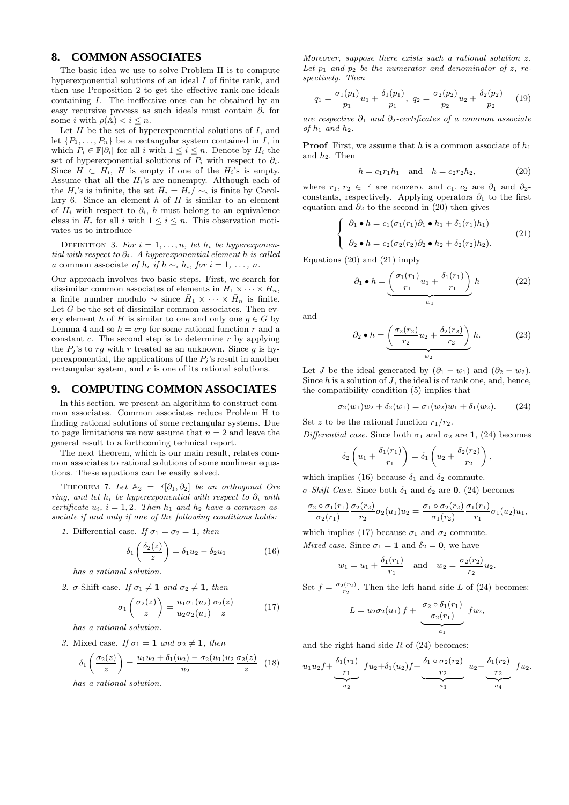## **8. COMMON ASSOCIATES**

The basic idea we use to solve Problem H is to compute hyperexponential solutions of an ideal I of finite rank, and then use Proposition 2 to get the effective rank-one ideals containing I. The ineffective ones can be obtained by an easy recursive process as such ideals must contain  $\partial_i$  for some *i* with  $\rho(\mathbb{A}) < i \leq n$ .

Let  $H$  be the set of hyperexponential solutions of  $I$ , and let  $\{P_1, \ldots, P_n\}$  be a rectangular system contained in I, in which  $P_i \in \mathbb{F}[\partial_i]$  for all i with  $1 \leq i \leq n$ . Denote by  $H_i$  the set of hyperexponential solutions of  $P_i$  with respect to  $\partial_i$ . Since  $H \subset H_i$ , H is empty if one of the  $H_i$ 's is empty. Assume that all the  $H_i$ 's are nonempty. Although each of the  $H_i$ 's is infinite, the set  $\bar{H}_i = H_i / \sim_i$  is finite by Corollary 6. Since an element  $h$  of  $H$  is similar to an element of  $H_i$  with respect to  $\partial_i$ , h must belong to an equivalence class in  $\bar{H}_i$  for all i with  $1 \leq i \leq n$ . This observation motivates us to introduce

DEFINITION 3. For  $i = 1, \ldots, n$ , let  $h_i$  be hyperexponential with respect to  $\partial_i$ . A hyperexponential element h is called a common associate of  $h_i$  if  $h \sim_i h_i$ , for  $i = 1, \ldots, n$ .

Our approach involves two basic steps. First, we search for dissimilar common associates of elements in  $H_1 \times \cdots \times H_n$ , a finite number modulo  $\sim$  since  $\bar{H}_1 \times \cdots \times \bar{H}_n$  is finite. Let  $G$  be the set of dissimilar common associates. Then every element h of H is similar to one and only one  $g \in G$  by Lemma 4 and so  $h = crg$  for some rational function r and a constant  $c$ . The second step is to determine  $r$  by applying the  $P_i$ 's to rq with r treated as an unknown. Since q is hyperexponential, the applications of the  $P_i$ 's result in another rectangular system, and r is one of its rational solutions.

## **9. COMPUTING COMMON ASSOCIATES**

In this section, we present an algorithm to construct common associates. Common associates reduce Problem H to finding rational solutions of some rectangular systems. Due to page limitations we now assume that  $n = 2$  and leave the general result to a forthcoming technical report.

The next theorem, which is our main result, relates common associates to rational solutions of some nonlinear equations. These equations can be easily solved.

THEOREM 7. Let  $\mathbb{A}_2 = \mathbb{F}[\partial_1, \partial_2]$  be an orthogonal Ore ring, and let  $h_i$  be hyperexponential with respect to  $\partial_i$  with certificate  $u_i$ ,  $i = 1, 2$ . Then  $h_1$  and  $h_2$  have a common associate if and only if one of the following conditions holds:

1. Differential case. If  $\sigma_1 = \sigma_2 = 1$ , then

$$
\delta_1\left(\frac{\delta_2(z)}{z}\right) = \delta_1 u_2 - \delta_2 u_1 \tag{16}
$$

has a rational solution.

2. σ-Shift case. If  $\sigma_1 \neq 1$  and  $\sigma_2 \neq 1$ , then

$$
\sigma_1\left(\frac{\sigma_2(z)}{z}\right) = \frac{u_1\sigma_1(u_2)}{u_2\sigma_2(u_1)}\frac{\sigma_2(z)}{z} \tag{17}
$$

has a rational solution.

3. Mixed case. If  $\sigma_1 = \mathbf{1}$  and  $\sigma_2 \neq \mathbf{1}$ , then

$$
\delta_1\left(\frac{\sigma_2(z)}{z}\right) = \frac{u_1u_2 + \delta_1(u_2) - \sigma_2(u_1)u_2}{u_2}\frac{\sigma_2(z)}{z} \tag{18}
$$

has a rational solution.

Moreover, suppose there exists such a rational solution z. Let  $p_1$  and  $p_2$  be the numerator and denominator of z, respectively. Then

$$
q_1 = \frac{\sigma_1(p_1)}{p_1} u_1 + \frac{\delta_1(p_1)}{p_1}, \ q_2 = \frac{\sigma_2(p_2)}{p_2} u_2 + \frac{\delta_2(p_2)}{p_2} \qquad (19)
$$

are respective  $\partial_1$  and  $\partial_2$ -certificates of a common associate of  $h_1$  and  $h_2$ .

**Proof** First, we assume that h is a common associate of  $h_1$ and  $h_2$ . Then

$$
h = c_1 r_1 h_1 \text{ and } h = c_2 r_2 h_2,
$$
 (20)

where  $r_1, r_2 \in \mathbb{F}$  are nonzero, and  $c_1, c_2$  are  $\partial_1$  and  $\partial_2$ constants, respectively. Applying operators  $\partial_1$  to the first equation and  $\partial_2$  to the second in (20) then gives

$$
\begin{cases}\n\partial_1 \bullet h = c_1(\sigma_1(r_1)\partial_1 \bullet h_1 + \delta_1(r_1)h_1) \\
\partial_2 \bullet h = c_2(\sigma_2(r_2)\partial_2 \bullet h_2 + \delta_2(r_2)h_2).\n\end{cases}
$$
\n(21)

Equations (20) and (21) imply

$$
\partial_1 \bullet h = \underbrace{\left(\frac{\sigma_1(r_1)}{r_1}u_1 + \frac{\delta_1(r_1)}{r_1}\right)}_{w_1}h \tag{22}
$$

and

$$
\partial_2 \bullet h = \underbrace{\left(\frac{\sigma_2(r_2)}{r_2}u_2 + \frac{\delta_2(r_2)}{r_2}\right)}_{w_2}h. \tag{23}
$$

Let *J* be the ideal generated by  $(\partial_1 - w_1)$  and  $(\partial_2 - w_2)$ . Since  $h$  is a solution of  $J$ , the ideal is of rank one, and, hence, the compatibility condition (5) implies that

 $\sigma_2(w_1)w_2 + \delta_2(w_1) = \sigma_1(w_2)w_1 + \delta_1(w_2).$  (24)

Set z to be the rational function  $r_1/r_2$ .

Differential case. Since both  $\sigma_1$  and  $\sigma_2$  are 1, (24) becomes

$$
\delta_2\left(u_1+\frac{\delta_1(r_1)}{r_1}\right)=\delta_1\left(u_2+\frac{\delta_2(r_2)}{r_2}\right),
$$

which implies (16) because  $\delta_1$  and  $\delta_2$  commute.

σ-Shift Case. Since both  $\delta_1$  and  $\delta_2$  are 0, (24) becomes

$$
\frac{\sigma_2 \circ \sigma_1(r_1)}{\sigma_2(r_1)} \frac{\sigma_2(r_2)}{r_2} \sigma_2(u_1) u_2 = \frac{\sigma_1 \circ \sigma_2(r_2)}{\sigma_1(r_2)} \frac{\sigma_1(r_1)}{r_1} \sigma_1(u_2) u_1,
$$

which implies (17) because  $\sigma_1$  and  $\sigma_2$  commute.

Mixed case. Since  $\sigma_1 = 1$  and  $\delta_2 = 0$ , we have

$$
w_1 = u_1 + \frac{\delta_1(r_1)}{r_1}
$$
 and  $w_2 = \frac{\sigma_2(r_2)}{r_2}u_2$ .

Set  $f = \frac{\sigma_2(r_2)}{r_2}$ . Then the left hand side L of (24) becomes:

$$
L = u_2 \sigma_2(u_1) f + \underbrace{\frac{\sigma_2 \circ \delta_1(r_1)}{\sigma_2(r_1)}}_{a_1} f u_2,
$$

and the right hand side  $R$  of  $(24)$  becomes:

$$
u_1u_2f + \underbrace{\underbrace{\delta_1(r_1)}_{r_1}}_{a_2} f u_2 + \delta_1(u_2)f + \underbrace{\underbrace{\delta_1 \circ \sigma_2(r_2)}_{r_2}}_{a_3} u_2 - \underbrace{\underbrace{\delta_1(r_2)}_{r_2}}_{a_4} f u_2.
$$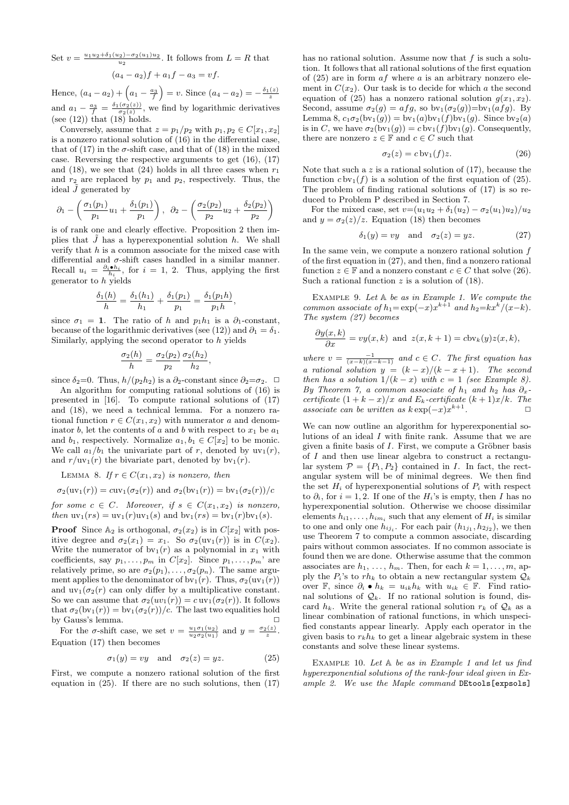Set  $v = \frac{u_1 u_2 + \delta_1(u_2) - \sigma_2(u_1)u_2}{u_2}$ . It follows from  $L = R$  that  $(a_4 - a_2)f + a_1f - a_3 = vf.$ 

Hence,  $(a_4 - a_2) + (a_1 - \frac{a_3}{f}) = v$ . Since  $(a_4 - a_2) = -\frac{\delta_1(z)}{z}$ and  $a_1 - \frac{a_3}{f} = \frac{\delta_1(\sigma_2(z))}{\sigma_2(z)}$ , we find by logarithmic derivatives (see  $(12)$ ) that  $(18)$  holds.

Conversely, assume that  $z = p_1/p_2$  with  $p_1, p_2 \in C[x_1, x_2]$ is a nonzero rational solution of (16) in the differential case, that of (17) in the  $\sigma$ -shift case, and that of (18) in the mixed case. Reversing the respective arguments to get (16), (17) and (18), we see that (24) holds in all three cases when  $r_1$ and  $r_2$  are replaced by  $p_1$  and  $p_2$ , respectively. Thus, the ideal  $J$  generated by

$$
\partial_1 - \left(\frac{\sigma_1(p_1)}{p_1}u_1 + \frac{\delta_1(p_1)}{p_1}\right), \ \ \partial_2 - \left(\frac{\sigma_2(p_2)}{p_2}u_2 + \frac{\delta_2(p_2)}{p_2}\right)
$$

is of rank one and clearly effective. Proposition 2 then implies that  $\bar{J}$  has a hyperexponential solution  $h$ . We shall verify that  $h$  is a common associate for the mixed case with differential and  $\sigma$ -shift cases handled in a similar manner. Recall  $u_i = \frac{\partial_i \cdot h_i}{h_i}$ , for  $i = 1, 2$ . Thus, applying the first generator to h yields

$$
\frac{\delta_1(h)}{h} = \frac{\delta_1(h_1)}{h_1} + \frac{\delta_1(p_1)}{p_1} = \frac{\delta_1(p_1 h)}{p_1 h},
$$

since  $\sigma_1 = 1$ . The ratio of h and  $p_1 h_1$  is a  $\partial_1$ -constant, because of the logarithmic derivatives (see (12)) and  $\partial_1 = \delta_1$ . Similarly, applying the second operator to h yields

$$
\frac{\sigma_2(h)}{h} = \frac{\sigma_2(p_2)}{p_2} \frac{\sigma_2(h_2)}{h_2},
$$

since  $\delta_2=0$ . Thus,  $h/(p_2h_2)$  is a  $\partial_2$ -constant since  $\partial_2=\sigma_2$ .  $\Box$ 

An algorithm for computing rational solutions of (16) is presented in [16]. To compute rational solutions of (17) and (18), we need a technical lemma. For a nonzero rational function  $r \in C(x_1, x_2)$  with numerator a and denominator b, let the contents of a and b with respect to  $x_1$  be  $a_1$ and  $b_1$ , respectively. Normalize  $a_1, b_1 \in C[x_2]$  to be monic. We call  $a_1/b_1$  the univariate part of r, denoted by  $uv_1(r)$ , and  $r/\text{uv}_1(r)$  the bivariate part, denoted by  $\text{bv}_1(r)$ .

LEMMA 8. If  $r \in C(x_1, x_2)$  is nonzero, then

$$
\sigma_2(\text{uv}_1(r)) = \text{cuv}_1(\sigma_2(r))
$$
 and  $\sigma_2(\text{bv}_1(r)) = \text{bv}_1(\sigma_2(r))/c$ 

for some  $c \in C$ . Moreover, if  $s \in C(x_1, x_2)$  is nonzero, then  $uv_1(rs) = uv_1(r)uv_1(s)$  and  $bv_1(rs) = bv_1(r)bv_1(s)$ .

**Proof** Since  $\mathbb{A}_2$  is orthogonal,  $\sigma_2(x_2)$  is in  $C[x_2]$  with positive degree and  $\sigma_2(x_1) = x_1$ . So  $\sigma_2(\text{uv}_1(r))$  is in  $C(x_2)$ . Write the numerator of  $bv_1(r)$  as a polynomial in  $x_1$  with coefficients, say  $p_1, \ldots, p_m$  in  $C[x_2]$ . Since  $p_1, \ldots, p_m$  are relatively prime, so are  $\sigma_2(p_1), \ldots, \sigma_2(p_n)$ . The same argument applies to the denominator of bv<sub>1</sub>(r). Thus,  $\sigma_2(uv_1(r))$ and  $uv_1(\sigma_2(r)$  can only differ by a multiplicative constant. So we can assume that  $\sigma_2(uv_1(r)) = c uv_1(\sigma_2(r))$ . It follows that  $\sigma_2(bv_1(r)) = bv_1(\sigma_2(r))/c$ . The last two equalities hold by Gauss's lemma.  $\Box$ 

For the  $\sigma$ -shift case, we set  $v = \frac{u_1 \sigma_1(u_2)}{u_2 \sigma_2(u_1)}$  and  $y = \frac{\sigma_2(z)}{z}$ . Equation (17) then becomes

$$
\sigma_1(y) = vy \quad \text{and} \quad \sigma_2(z) = yz. \tag{25}
$$

First, we compute a nonzero rational solution of the first equation in  $(25)$ . If there are no such solutions, then  $(17)$ 

has no rational solution. Assume now that  $f$  is such a solution. It follows that all rational solutions of the first equation of  $(25)$  are in form  $af$  where a is an arbitrary nonzero element in  $C(x_2)$ . Our task is to decide for which a the second equation of (25) has a nonzero rational solution  $g(x_1, x_2)$ . Second, assume  $\sigma_2(g) = afg$ , so  $bv_1(\sigma_2(g))=bv_1(afg)$ . By Lemma 8,  $c_1 \sigma_2(bv_1(g)) = bv_1(a)bv_1(f)bv_1(g)$ . Since  $bv_2(a)$ is in C, we have  $\sigma_2(bv_1(g)) = c bv_1(f)bv_1(g)$ . Consequently, there are nonzero  $z \in \mathbb{F}$  and  $c \in C$  such that

$$
\sigma_2(z) = c \operatorname{bv}_1(f) z. \tag{26}
$$

Note that such a z is a rational solution of  $(17)$ , because the function  $c$  bv<sub>1</sub>(f) is a solution of the first equation of (25). The problem of finding rational solutions of (17) is so reduced to Problem P described in Section 7.

For the mixed case, set  $v=(u_1u_2 + \delta_1(u_2) - \sigma_2(u_1)u_2)/u_2$ and  $y = \sigma_2(z)/z$ . Equation (18) then becomes

$$
\delta_1(y) = vy \quad \text{and} \quad \sigma_2(z) = yz. \tag{27}
$$

In the same vein, we compute a nonzero rational solution  $f$ of the first equation in (27), and then, find a nonzero rational function  $z \in \mathbb{F}$  and a nonzero constant  $c \in C$  that solve (26). Such a rational function  $z$  is a solution of (18).

Example 9. Let A be as in Example 1. We compute the common associate of  $h_1 = \exp(-x)x^{k+1}$  and  $h_2 = kx^k/(x-k)$ . The system (27) becomes

$$
\frac{\partial y(x,k)}{\partial x} = vy(x,k) \text{ and } z(x,k+1) = cbv_k(y)z(x,k),
$$

where  $v = \frac{-1}{(x-k)(x-k-1)}$  and  $c \in C$ . The first equation has a rational solution  $y = (k-x)/(k-x+1)$ . The second then has a solution  $1/(k-x)$  with  $c=1$  (see Example 8). By Theorem 7, a common associate of  $h_1$  and  $h_2$  has  $\partial_x$ certificate  $(1 + k - x)/x$  and  $E_k$ -certificate  $(k + 1)x/k$ . The associate can be written as  $k \exp(-x) x^{k+1}$ . — Використиански профессионен и профессионен профессионен профессионен профессионен профессионен профессион<br>В село в село в село в село в село в село в село в село в село в село в село в село в село в село в село в се<br>С

We can now outline an algorithm for hyperexponential solutions of an ideal I with finite rank. Assume that we are given a finite basis of  $I$ . First, we compute a Gröbner basis of I and then use linear algebra to construct a rectangular system  $\mathcal{P} = \{P_1, P_2\}$  contained in *I*. In fact, the rectangular system will be of minimal degrees. We then find the set  $H_i$  of hyperexponential solutions of  $P_i$  with respect to  $\partial_i$ , for  $i = 1, 2$ . If one of the  $H_i$ 's is empty, then I has no hyperexponential solution. Otherwise we choose dissimilar elements  $h_{i1}, \ldots, h_{im_i}$  such that any element of  $H_i$  is similar to one and only one  $h_{ij_i}$ . For each pair  $(h_{1j_1}, h_{2j_2})$ , we then use Theorem 7 to compute a common associate, discarding pairs without common associates. If no common associate is found then we are done. Otherwise assume that the common associates are  $h_1, \ldots, h_m$ . Then, for each  $k = 1, \ldots, m$ , apply the  $P_i$ 's to  $rh_k$  to obtain a new rectangular system  $\mathcal{Q}_k$ over F, since  $\partial_i \bullet h_k = u_{ik}h_k$  with  $u_{ik} \in \mathbb{F}$ . Find rational solutions of  $\mathcal{Q}_k$ . If no rational solution is found, discard  $h_k$ . Write the general rational solution  $r_k$  of  $\mathcal{Q}_k$  as a linear combination of rational functions, in which unspecified constants appear linearly. Apply each operator in the given basis to  $r_k h_k$  to get a linear algebraic system in these constants and solve these linear systems.

EXAMPLE 10. Let A be as in Example 1 and let us find hyperexponential solutions of the rank-four ideal given in Example 2. We use the Maple command DEtools[expsols]